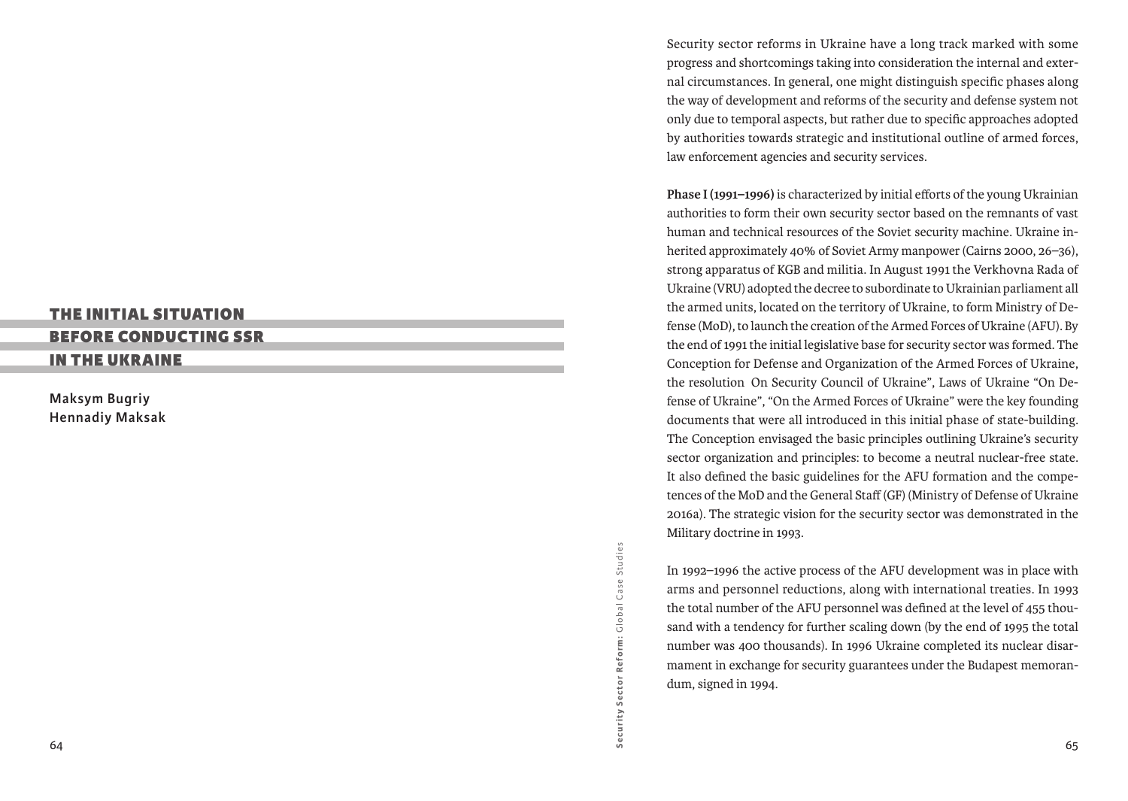# The Initial Situation

## Before Conducting SS R

in the Ukraine

**Maksym Bugriy Hennadiy Maksak**

> Security Sector Reform: Global Case Studies G lobal Case Studies Security Sector Reform:

Security sector reforms in Ukraine have a long track marked with some progress and shortcomings taking into consideration the internal and exter nal circumstances. In general, one might distinguish specific phases along the way of development and reforms of the security and defense system not only due to temporal aspects, but rather due to specific approaches adopted by authorities towards strategic and institutional outline of armed forces, law enforcement agencies and security services.

**Phase I (1991–1996)** is characterized by initial efforts of the young Ukrainian authorities to form their own security sector based on the remnants of vast human and technical resources of the Soviet security machine. Ukraine in herited approximately 40% of Soviet Army manpower (Cairns 2000, 26–36), strong apparatus of KGB and militia. In August 1991 the Verkhovna Rada of Ukraine (VRU) adopted the decree to subordinate to Ukrainian parliament all the armed units, located on the territory of Ukraine, to form Ministry of De fense (MoD), to launch the creation of the Armed Forces of Ukraine (AFU). By the end of 1991 the initial legislative base for security sector was formed. The Conception for Defense and Organization of the Armed Forces of Ukraine, the resolution On Security Council of Ukraine", Laws of Ukraine "On De fense of Ukraine", "On the Armed Forces of Ukraine" were the key founding documents that were all introduced in this initial phase of state-building. The Conception envisaged the basic principles outlining Ukraine's security sector organization and principles: to become a neutral nuclear-free state. It also defined the basic guidelines for the AFU formation and the compe tences of the MoD and the General Staff (GF) (Ministry of Defense of Ukraine 2016a). The strategic vision for the security sector was demonstrated in the Military doctrine in 1993.

In 1992–1996 the active process of the AFU development was in place with arms and personnel reductions, along with international treaties. In 1993 the total number of the AFU personnel was defined at the level of 455 thou sand with a tendency for further scaling down (by the end of 1995 the total number was 400 thousands). In 1996 Ukraine completed its nuclear disar mament in exchange for security guarantees under the Budapest memoran dum, signed in 1994.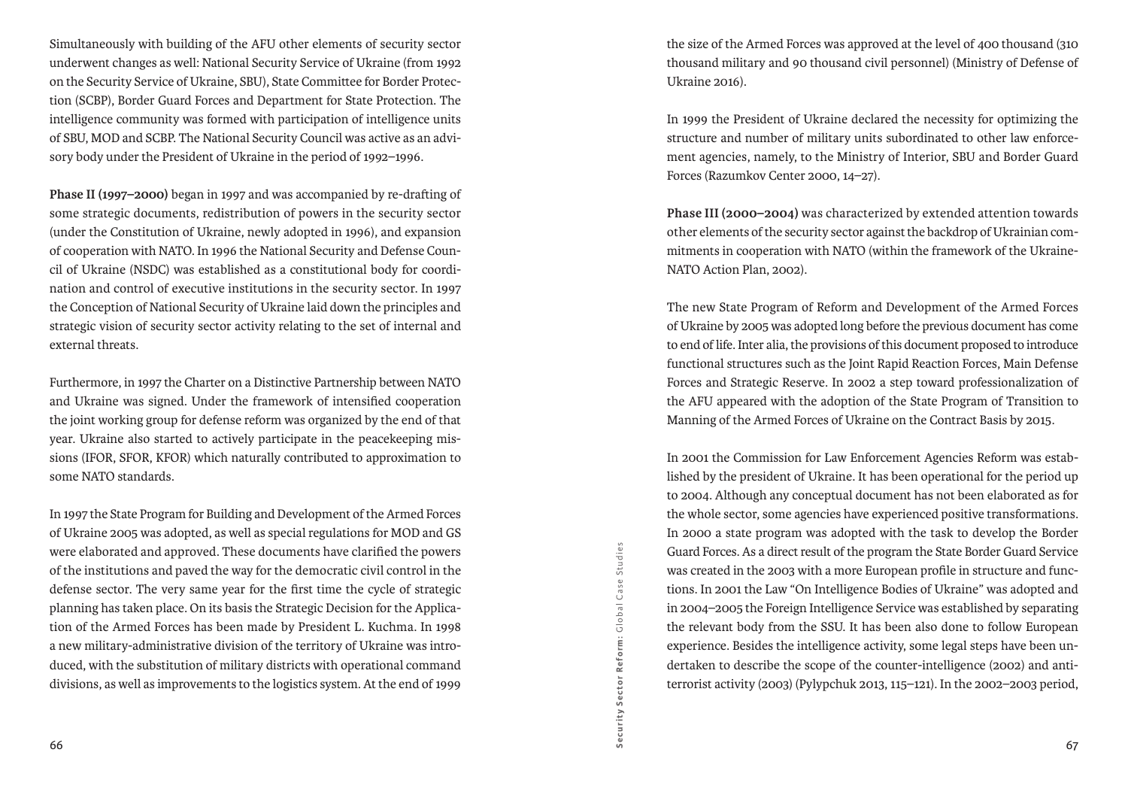Simultaneously with building of the AFU other elements of security sector underwent changes as well: National Security Service of Ukraine (from 1992 on the Security Service of Ukraine, SBU), State Committee for Border Protection (SCBP), Border Guard Forces and Department for State Protection. The intelligence community was formed with participation of intelligence units of SBU, MOD and SCBP. The National Security Council was active as an advisory body under the President of Ukraine in the period of 1992–1996.

**Phase II (1997–2000)** began in 1997 and was accompanied by re-drafting of some strategic documents, redistribution of powers in the security sector (under the Constitution of Ukraine, newly adopted in 1996), and expansion of cooperation with NATO. In 1996 the National Security and Defense Council of Ukraine (NSDC) was established as a constitutional body for coordination and control of executive institutions in the security sector. In 1997 the Conception of National Security of Ukraine laid down the principles and strategic vision of security sector activity relating to the set of internal and external threats.

Furthermore, in 1997 the Charter on a Distinctive Partnership between NATO and Ukraine was signed. Under the framework of intensified cooperation the joint working group for defense reform was organized by the end of that year. Ukraine also started to actively participate in the peacekeeping missions (IFOR, SFOR, KFOR) which naturally contributed to approximation to some NATO standards.

In 1997 the State Program for Building and Development of the Armed Forces of Ukraine 2005 was adopted, as well as special regulations for MOD and GS were elaborated and approved. These documents have clarified the powers of the institutions and paved the way for the democratic civil control in the defense sector. The very same year for the first time the cycle of strategic planning has taken place. On its basis the Strategic Decision for the Application of the Armed Forces has been made by President L. Kuchma. In 1998 a new military-administrative division of the territory of Ukraine was introduced, with the substitution of military districts with operational command divisions, as well as improvements to the logistics system. At the end of 1999

Security Sector Reform: Global Case Studies G lobal Case Studies Security Sector Reform:

the size of the Armed Forces was approved at the level of 400 thousand (310 thousand military and 90 thousand civil personnel) (Ministry of Defense of Ukraine 2016).

In 1999 the President of Ukraine declared the necessity for optimizing the structure and number of military units subordinated to other law enforcement agencies, namely, to the Ministry of Interior, SBU and Border Guard Forces (Razumkov Center 2000, 14–27).

**Phase III (2000–2004)** was characterized by extended attention towards other elements of the security sector against the backdrop of Ukrainian commitments in cooperation with NATO (within the framework of the Ukraine-NATO Action Plan, 2002).

The new State Program of Reform and Development of the Armed Forces of Ukraine by 2005 was adopted long before the previous document has come to end of life. Inter alia, the provisions of this document proposed to introduce functional structures such as the Joint Rapid Reaction Forces, Main Defense Forces and Strategic Reserve. In 2002 a step toward professionalization of the AFU appeared with the adoption of the State Program of Transition to Manning of the Armed Forces of Ukraine on the Contract Basis by 2015.

In 2001 the Commission for Law Enforcement Agencies Reform was established by the president of Ukraine. It has been operational for the period up to 2004. Although any conceptual document has not been elaborated as for the whole sector, some agencies have experienced positive transformations. In 2000 a state program was adopted with the task to develop the Border Guard Forces. As a direct result of the program the State Border Guard Service was created in the 2003 with a more European profile in structure and functions. In 2001 the Law "On Intelligence Bodies of Ukraine" was adopted and in 2004–2005 the Foreign Intelligence Service was established by separating the relevant body from the SSU. It has been also done to follow European experience. Besides the intelligence activity, some legal steps have been undertaken to describe the scope of the counter-intelligence (2002) and antiterrorist activity (2003) (Pylypchuk 2013, 115–121). In the 2002–2003 period,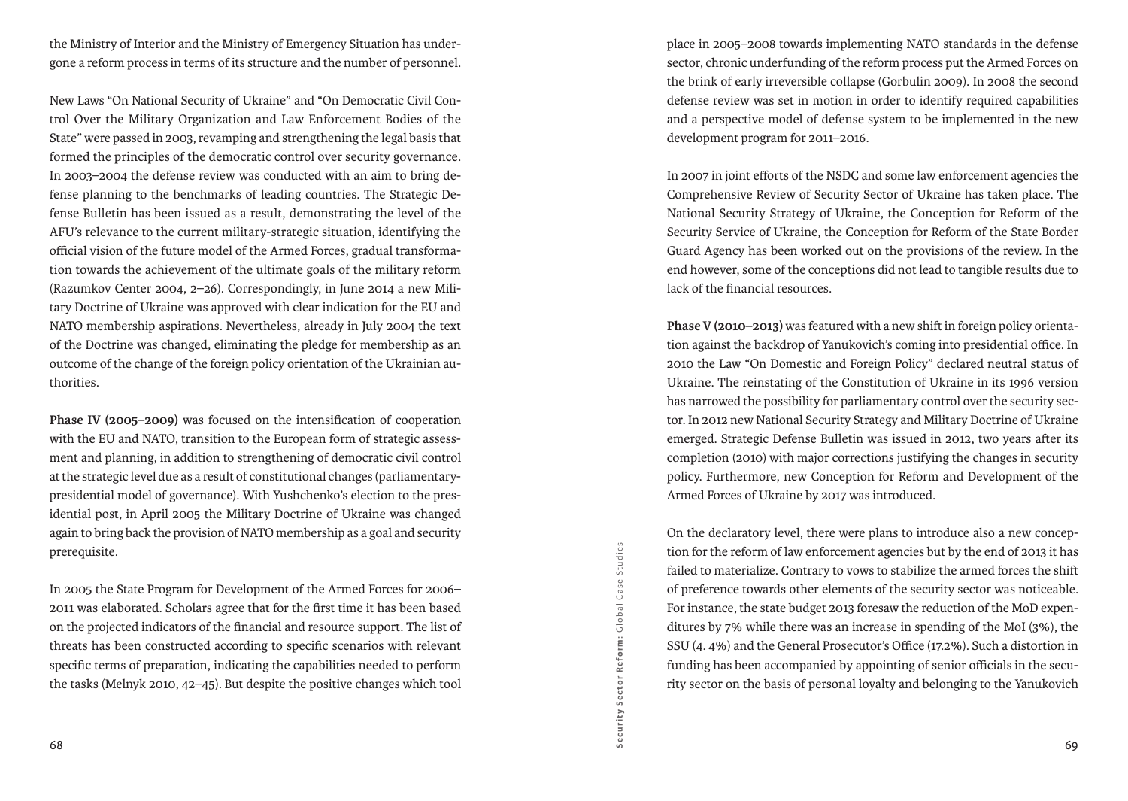the Ministry of Interior and the Ministry of Emergency Situation has undergone a reform process in terms of its structure and the number of personnel.

New Laws "On National Security of Ukraine" and "On Democratic Civil Control Over the Military Organization and Law Enforcement Bodies of the State" were passed in 2003, revamping and strengthening the legal basis that formed the principles of the democratic control over security governance. In 2003–2004 the defense review was conducted with an aim to bring defense planning to the benchmarks of leading countries. The Strategic Defense Bulletin has been issued as a result, demonstrating the level of the AFU's relevance to the current military-strategic situation, identifying the official vision of the future model of the Armed Forces, gradual transformation towards the achievement of the ultimate goals of the military reform (Razumkov Center 2004, 2–26). Correspondingly, in June 2014 a new Military Doctrine of Ukraine was approved with clear indication for the EU and NATO membership aspirations. Nevertheless, already in July 2004 the text of the Doctrine was changed, eliminating the pledge for membership as an outcome of the change of the foreign policy orientation of the Ukrainian authorities.

**Phase IV (2005–2009)** was focused on the intensification of cooperation with the EU and NATO, transition to the European form of strategic assessment and planning, in addition to strengthening of democratic civil control at the strategic level due as a result of constitutional changes (parliamentarypresidential model of governance). With Yushchenko's election to the presidential post, in April 2005 the Military Doctrine of Ukraine was changed again to bring back the provision of NATO membership as a goal and security prerequisite.

In 2005 the State Program for Development of the Armed Forces for 2006– 2011 was elaborated. Scholars agree that for the first time it has been based on the projected indicators of the financial and resource support. The list of threats has been constructed according to specific scenarios with relevant specific terms of preparation, indicating the capabilities needed to perform the tasks (Melnyk 2010, 42–45). But despite the positive changes which tool

place in 2005–2008 towards implementing NATO standards in the defense sector, chronic underfunding of the reform process put the Armed Forces on the brink of early irreversible collapse (Gorbulin 2009). In 2008 the second defense review was set in motion in order to identify required capabilities and a perspective model of defense system to be implemented in the new development program for 2011–2016.

In 2007 in joint efforts of the NSDC and some law enforcement agencies the Comprehensive Review of Security Sector of Ukraine has taken place. The National Security Strategy of Ukraine, the Conception for Reform of the Security Service of Ukraine, the Conception for Reform of the State Border Guard Agency has been worked out on the provisions of the review. In the end however, some of the conceptions did not lead to tangible results due to lack of the financial resources.

**Phase V (2010–2013)** was featured with a new shift in foreign policy orientation against the backdrop of Yanukovich's coming into presidential office. In 2010 the Law "On Domestic and Foreign Policy" declared neutral status of Ukraine. The reinstating of the Constitution of Ukraine in its 1996 version has narrowed the possibility for parliamentary control over the security sector. In 2012 new National Security Strategy and Military Doctrine of Ukraine emerged. Strategic Defense Bulletin was issued in 2012, two years after its completion (2010) with major corrections justifying the changes in security policy. Furthermore, new Conception for Reform and Development of the Armed Forces of Ukraine by 2017 was introduced.

On the declaratory level, there were plans to introduce also a new conception for the reform of law enforcement agencies but by the end of 2013 it has failed to materialize. Contrary to vows to stabilize the armed forces the shift of preference towards other elements of the security sector was noticeable. For instance, the state budget 2013 foresaw the reduction of the MoD expenditures by 7% while there was an increase in spending of the MoI (3%), the SSU (4. 4%) and the General Prosecutor's Office (17.2%). Such a distortion in funding has been accompanied by appointing of senior officials in the security sector on the basis of personal loyalty and belonging to the Yanukovich

Security Sector Reform:

Security Sector Reform: Global Case Studies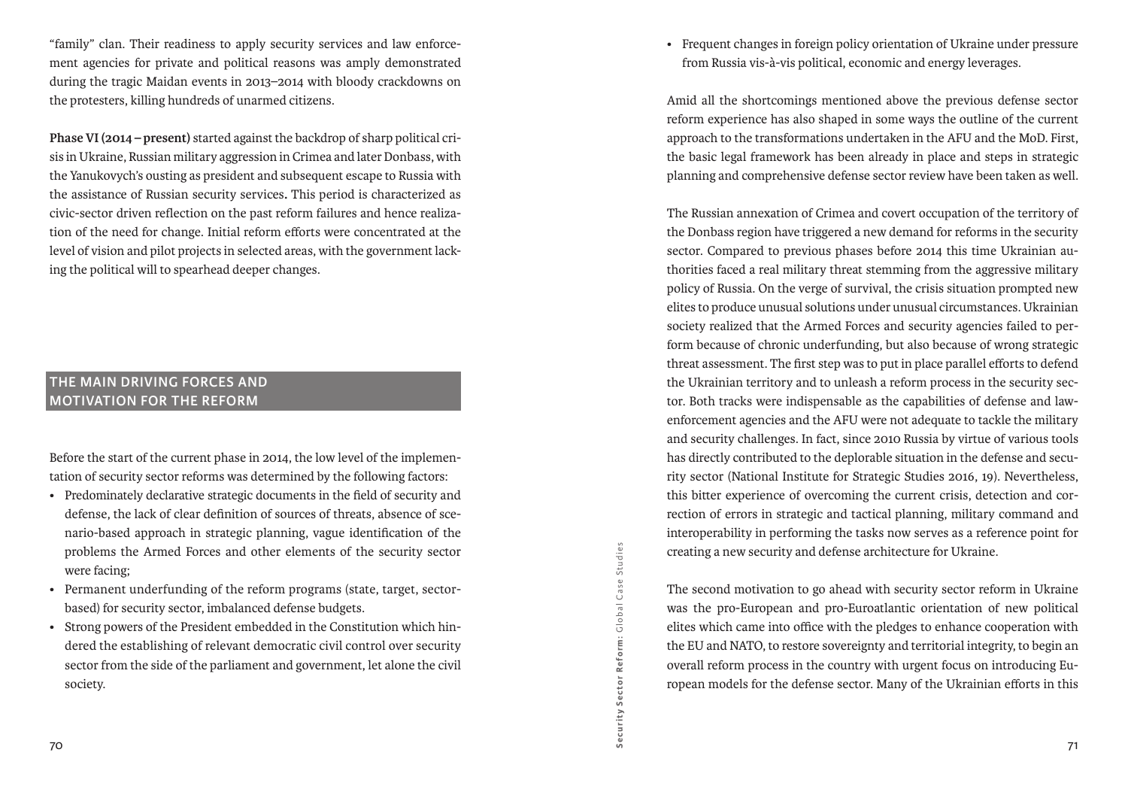"family" clan. Their readiness to apply security services and law enforcement agencies for private and political reasons was amply demonstrated during the tragic Maidan events in 2013–2014 with bloody crackdowns on the protesters, killing hundreds of unarmed citizens.

**Phase VI (2014 – present)** started against the backdrop of sharp political crisis in Ukraine, Russian military aggression in Crimea and later Donbass, with the Yanukovych's ousting as president and subsequent escape to Russia with the assistance of Russian security services**.** This period is characterized as civic-sector driven reflection on the past reform failures and hence realization of the need for change. Initial reform efforts were concentrated at the level of vision and pilot projects in selected areas, with the government lacking the political will to spearhead deeper changes.

## **The main driving forces and motivation for the reform**

Before the start of the current phase in 2014, the low level of the implementation of security sector reforms was determined by the following factors:

- • Predominately declarative strategic documents in the field of security and defense, the lack of clear definition of sources of threats, absence of scenario-based approach in strategic planning, vague identification of the problems the Armed Forces and other elements of the security sector were facing;
- • Permanent underfunding of the reform programs (state, target, sectorbased) for security sector, imbalanced defense budgets.
- • Strong powers of the President embedded in the Constitution which hindered the establishing of relevant democratic civil control over security sector from the side of the parliament and government, let alone the civil society.

• Frequent changes in foreign policy orientation of Ukraine under pressure from Russia vis-à-vis political, economic and energy leverages.

Amid all the shortcomings mentioned above the previous defense sector reform experience has also shaped in some ways the outline of the current approach to the transformations undertaken in the AFU and the MoD. First, the basic legal framework has been already in place and steps in strategic planning and comprehensive defense sector review have been taken as well.

The Russian annexation of Crimea and covert occupation of the territory of the Donbass region have triggered a new demand for reforms in the security sector. Compared to previous phases before 2014 this time Ukrainian authorities faced a real military threat stemming from the aggressive military policy of Russia. On the verge of survival, the crisis situation prompted new elites to produce unusual solutions under unusual circumstances. Ukrainian society realized that the Armed Forces and security agencies failed to perform because of chronic underfunding, but also because of wrong strategic threat assessment. The first step was to put in place parallel efforts to defend the Ukrainian territory and to unleash a reform process in the security sector. Both tracks were indispensable as the capabilities of defense and lawenforcement agencies and the AFU were not adequate to tackle the military and security challenges. In fact, since 2010 Russia by virtue of various tools has directly contributed to the deplorable situation in the defense and security sector (National Institute for Strategic Studies 2016, 19). Nevertheless, this bitter experience of overcoming the current crisis, detection and correction of errors in strategic and tactical planning, military command and interoperability in performing the tasks now serves as a reference point for creating a new security and defense architecture for Ukraine.

The second motivation to go ahead with security sector reform in Ukraine was the pro-European and pro-Euroatlantic orientation of new political elites which came into office with the pledges to enhance cooperation with the EU and NATO, to restore sovereignty and territorial integrity, to begin an overall reform process in the country with urgent focus on introducing European models for the defense sector. Many of the Ukrainian efforts in this

Security Sector Reform:

Security Sector Reform: Global Case Studies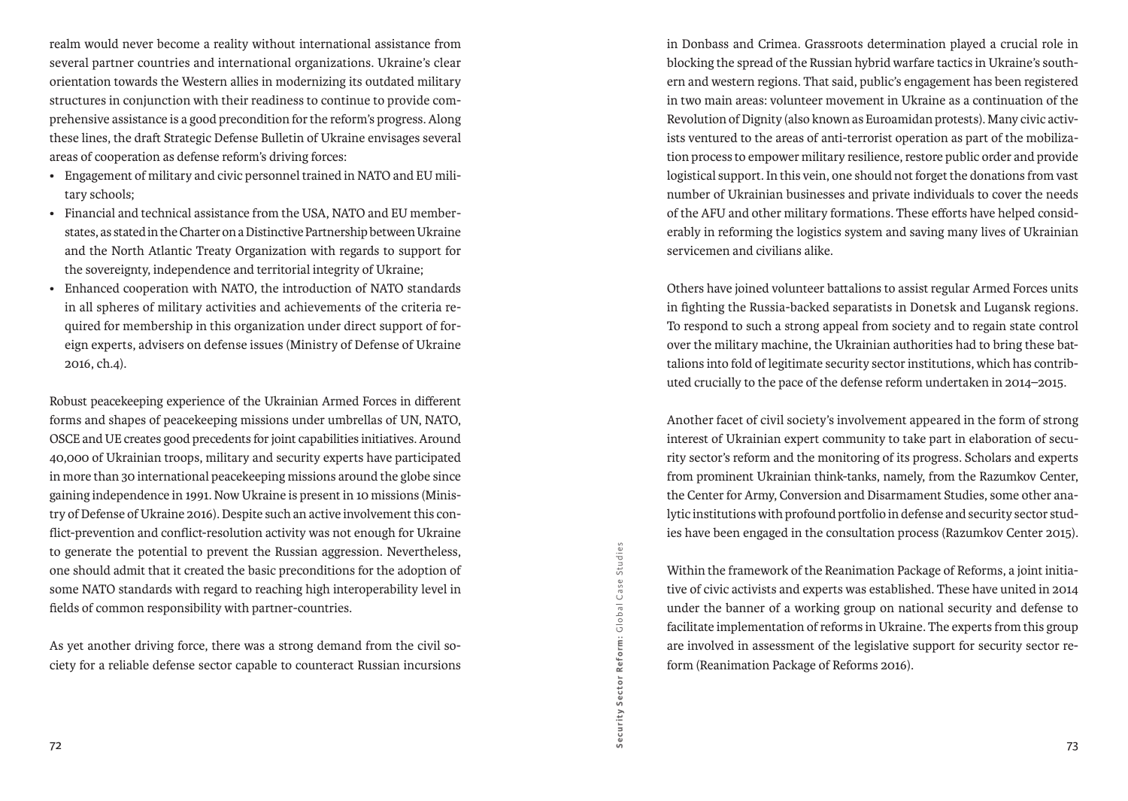realm would never become a reality without international assistance from several partner countries and international organizations. Ukraine's clear orientation towards the Western allies in modernizing its outdated military structures in conjunction with their readiness to continue to provide comprehensive assistance is a good precondition for the reform's progress. Along these lines, the draft Strategic Defense Bulletin of Ukraine envisages several areas of cooperation as defense reform's driving forces:

- • Engagement of military and civic personnel trained in NATO and EU military schools;
- • Financial and technical assistance from the USA, NATO and EU memberstates, as stated in the Charter on a Distinctive Partnership between Ukraine and the North Atlantic Treaty Organization with regards to support for the sovereignty, independence and territorial integrity of Ukraine;
- • Enhanced cooperation with NATO, the introduction of NATO standards in all spheres of military activities and achievements of the criteria required for membership in this organization under direct support of foreign experts, advisers on defense issues (Ministry of Defense of Ukraine 2016, ch.4).

Robust peacekeeping experience of the Ukrainian Armed Forces in different forms and shapes of peacekeeping missions under umbrellas of UN, NATO, OSCE and UE creates good precedents for joint capabilities initiatives. Around 40,000 of Ukrainian troops, military and security experts have participated in more than 30 international peacekeeping missions around the globe since gaining independence in 1991. Now Ukraine is present in 10 missions (Ministry of Defense of Ukraine 2016). Despite such an active involvement this conflict-prevention and conflict-resolution activity was not enough for Ukraine to generate the potential to prevent the Russian aggression. Nevertheless, one should admit that it created the basic preconditions for the adoption of some NATO standards with regard to reaching high interoperability level in fields of common responsibility with partner-countries.

As yet another driving force, there was a strong demand from the civil society for a reliable defense sector capable to counteract Russian incursions

in Donbass and Crimea. Grassroots determination played a crucial role in blocking the spread of the Russian hybrid warfare tactics in Ukraine's southern and western regions. That said, public's engagement has been registered in two main areas: volunteer movement in Ukraine as a continuation of the Revolution of Dignity (also known as Euroamidan protests). Many civic activists ventured to the areas of anti-terrorist operation as part of the mobilization process to empower military resilience, restore public order and provide logistical support. In this vein, one should not forget the donations from vast number of Ukrainian businesses and private individuals to cover the needs of the AFU and other military formations. These efforts have helped considerably in reforming the logistics system and saving many lives of Ukrainian servicemen and civilians alike.

Others have joined volunteer battalions to assist regular Armed Forces units in fighting the Russia-backed separatists in Donetsk and Lugansk regions. To respond to such a strong appeal from society and to regain state control over the military machine, the Ukrainian authorities had to bring these battalions into fold of legitimate security sector institutions, which has contributed crucially to the pace of the defense reform undertaken in 2014–2015.

Another facet of civil society's involvement appeared in the form of strong interest of Ukrainian expert community to take part in elaboration of security sector's reform and the monitoring of its progress. Scholars and experts from prominent Ukrainian think-tanks, namely, from the Razumkov Center, the Center for Army, Conversion and Disarmament Studies, some other analytic institutions with profound portfolio in defense and security sector studies have been engaged in the consultation process (Razumkov Center 2015).

Within the framework of the Reanimation Package of Reforms, a joint initiative of civic activists and experts was established. These have united in 2014 under the banner of a working group on national security and defense to facilitate implementation of reforms in Ukraine. The experts from this group are involved in assessment of the legislative support for security sector reform (Reanimation Package of Reforms 2016).

Security Sector Reform: Global Case Studies G lobal Case Studies Security Sector Reform: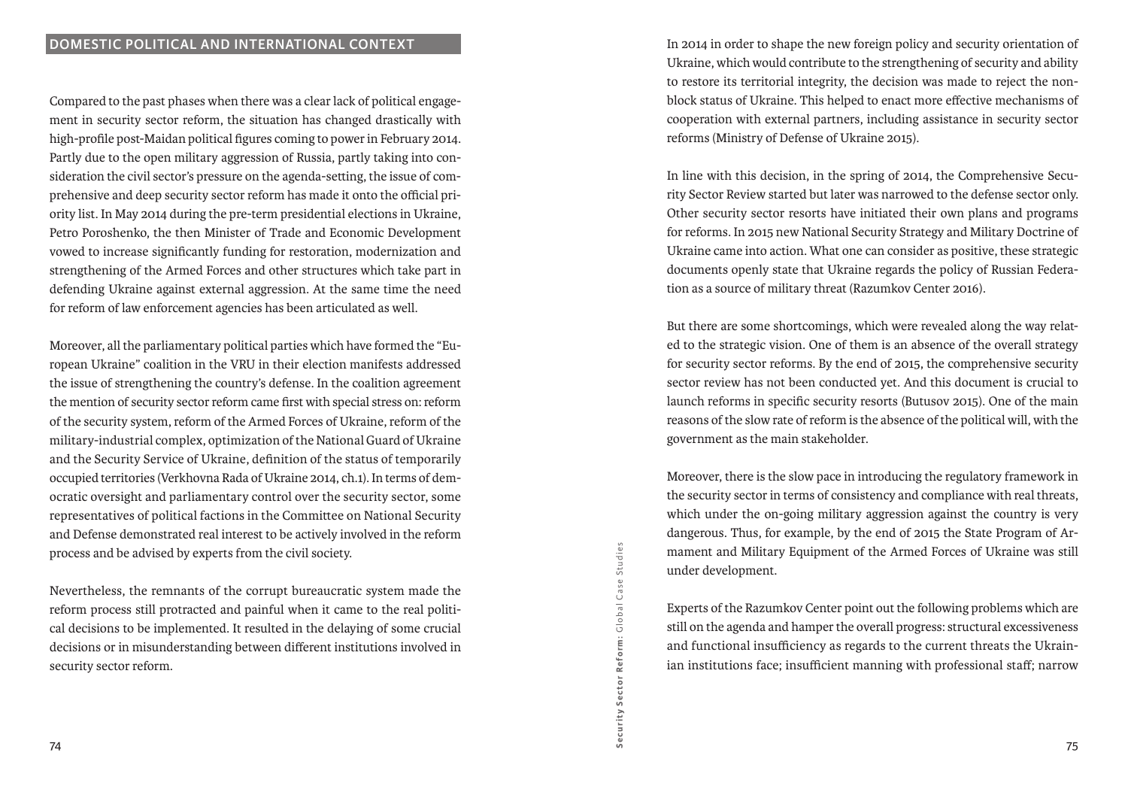Compared to the past phases when there was a clear lack of political engagement in security sector reform, the situation has changed drastically with high-profile post-Maidan political figures coming to power in February 2014. Partly due to the open military aggression of Russia, partly taking into consideration the civil sector's pressure on the agenda-setting, the issue of comprehensive and deep security sector reform has made it onto the official priority list. In May 2014 during the pre-term presidential elections in Ukraine, Petro Poroshenko, the then Minister of Trade and Economic Development vowed to increase significantly funding for restoration, modernization and strengthening of the Armed Forces and other structures which take part in defending Ukraine against external aggression. At the same time the need for reform of law enforcement agencies has been articulated as well.

Moreover, all the parliamentary political parties which have formed the "European Ukraine" coalition in the VRU in their election manifests addressed the issue of strengthening the country's defense. In the coalition agreement the mention of security sector reform came first with special stress on: reform of the security system, reform of the Armed Forces of Ukraine, reform of the military-industrial complex, optimization of the National Guard of Ukraine and the Security Service of Ukraine, definition of the status of temporarily occupied territories (Verkhovna Rada of Ukraine 2014, ch.1). In terms of democratic oversight and parliamentary control over the security sector, some representatives of political factions in the Committee on National Security and Defense demonstrated real interest to be actively involved in the reform process and be advised by experts from the civil society.

Nevertheless, the remnants of the corrupt bureaucratic system made the reform process still protracted and painful when it came to the real political decisions to be implemented. It resulted in the delaying of some crucial decisions or in misunderstanding between different institutions involved in security sector reform.

In 2014 in order to shape the new foreign policy and security orientation of Ukraine, which would contribute to the strengthening of security and ability to restore its territorial integrity, the decision was made to reject the nonblock status of Ukraine. This helped to enact more effective mechanisms of cooperation with external partners, including assistance in security sector reforms (Ministry of Defense of Ukraine 2015).

In line with this decision, in the spring of 2014, the Comprehensive Security Sector Review started but later was narrowed to the defense sector only. Other security sector resorts have initiated their own plans and programs for reforms. In 2015 new National Security Strategy and Military Doctrine of Ukraine came into action. What one can consider as positive, these strategic documents openly state that Ukraine regards the policy of Russian Federation as a source of military threat (Razumkov Center 2016).

But there are some shortcomings, which were revealed along the way related to the strategic vision. One of them is an absence of the overall strategy for security sector reforms. By the end of 2015, the comprehensive security sector review has not been conducted yet. And this document is crucial to launch reforms in specific security resorts (Butusov 2015). One of the main reasons of the slow rate of reform is the absence of the political will, with the government as the main stakeholder.

Moreover, there is the slow pace in introducing the regulatory framework in the security sector in terms of consistency and compliance with real threats, which under the on-going military aggression against the country is very dangerous. Thus, for example, by the end of 2015 the State Program of Armament and Military Equipment of the Armed Forces of Ukraine was still under development.

Experts of the Razumkov Center point out the following problems which are still on the agenda and hamper the overall progress: structural excessiveness and functional insufficiency as regards to the current threats the Ukrainian institutions face; insufficient manning with professional staff; narrow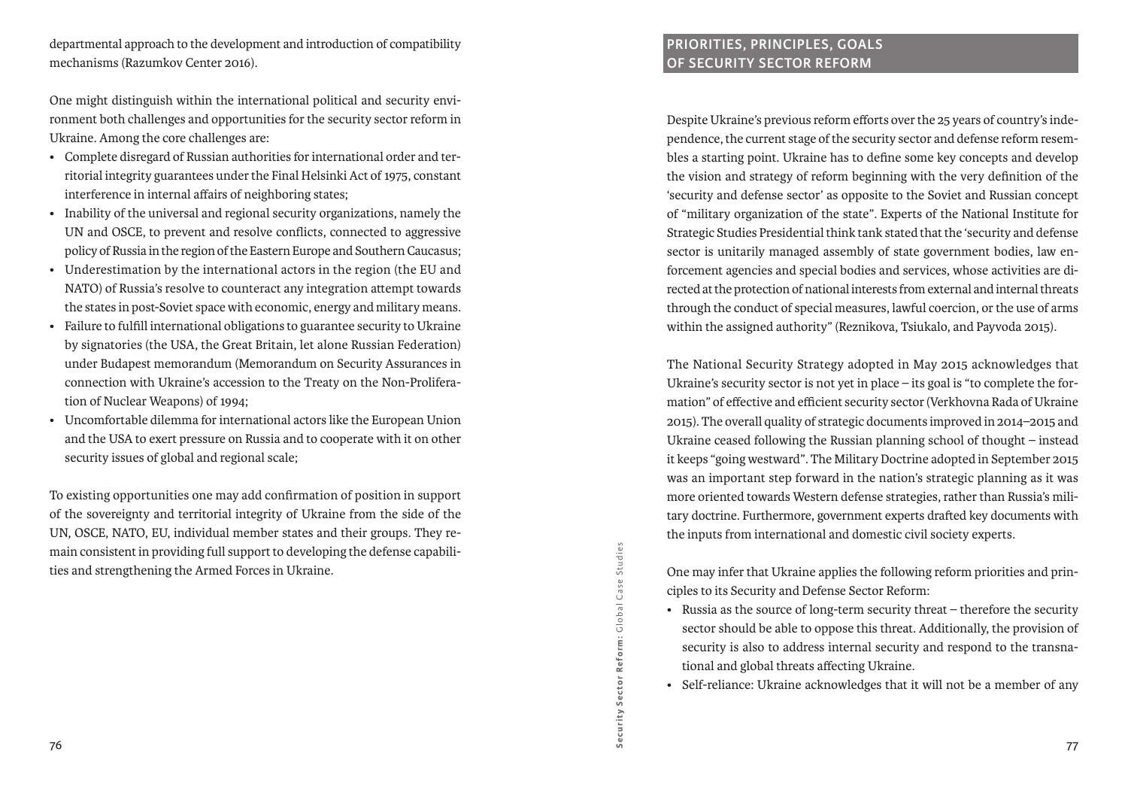departmental approach to the development and introduction of compatibility mechanisms (Razumkov Center 2016).

One might distinguish within the international political and security environment both challenges and opportunities for the security sector reform in Ukraine. Among the core challenges are:

- • Complete disregard of Russian authorities for international order and territorial integrity guarantees under the Final Helsinki Act of 1975, constant interference in internal affairs of neighboring states;
- • Inability of the universal and regional security organizations, namely the UN and OSCE, to prevent and resolve conflicts, connected to aggressive policy of Russia in the region of the Eastern Europe and Southern Caucasus;
- • Underestimation by the international actors in the region (the EU and NATO) of Russia's resolve to counteract any integration attempt towards the states in post-Soviet space with economic, energy and military means.
- • Failure to fulfill international obligations to guarantee security to Ukraine by signatories (the USA, the Great Britain, let alone Russian Federation) under Budapest memorandum (Memorandum on Security Assurances in connection with Ukraine's accession to the Treaty on the Non-Proliferation of Nuclear Weapons) of 1994;
- • Uncomfortable dilemma for international actors like the European Union and the USA to exert pressure on Russia and to cooperate with it on other security issues of global and regional scale;

To existing opportunities one may add confirmation of position in support of the sovereignty and territorial integrity of Ukraine from the side of the UN, OSCE, NATO, EU, individual member states and their groups. They remain consistent in providing full support to developing the defense capabilities and strengthening the Armed Forces in Ukraine.

# **Priorities, principles, goals of Security Sector Reform**

Despite Ukraine's previous reform efforts over the 25 years of country's independence, the current stage of the security sector and defense reform resembles a starting point. Ukraine has to define some key concepts and develop the vision and strategy of reform beginning with the very definition of the 'security and defense sector' as opposite to the Soviet and Russian concept of "military organization of the state". Experts of the National Institute for Strategic Studies Presidential think tank stated that the 'security and defense sector is unitarily managed assembly of state government bodies, law enforcement agencies and special bodies and services, whose activities are directed at the protection of national interests from external and internal threats through the conduct of special measures, lawful coercion, or the use of arms within the assigned authority" (Reznikova, Tsiukalo, and Payvoda 2015).

The National Security Strategy adopted in May 2015 acknowledges that Ukraine's security sector is not yet in place – its goal is "to complete the formation" of effective and efficient security sector (Verkhovna Rada of Ukraine 2015). The overall quality of strategic documents improved in 2014–2015 and Ukraine ceased following the Russian planning school of thought – instead it keeps "going westward". The Military Doctrine adopted in September 2015 was an important step forward in the nation's strategic planning as it was more oriented towards Western defense strategies, rather than Russia's military doctrine. Furthermore, government experts drafted key documents with the inputs from international and domestic civil society experts.

One may infer that Ukraine applies the following reform priorities and principles to its Security and Defense Sector Reform:

- Russia as the source of long-term security threat therefore the security sector should be able to oppose this threat. Additionally, the provision of security is also to address internal security and respond to the transnational and global threats affecting Ukraine.
- Self-reliance: Ukraine acknowledges that it will not be a member of any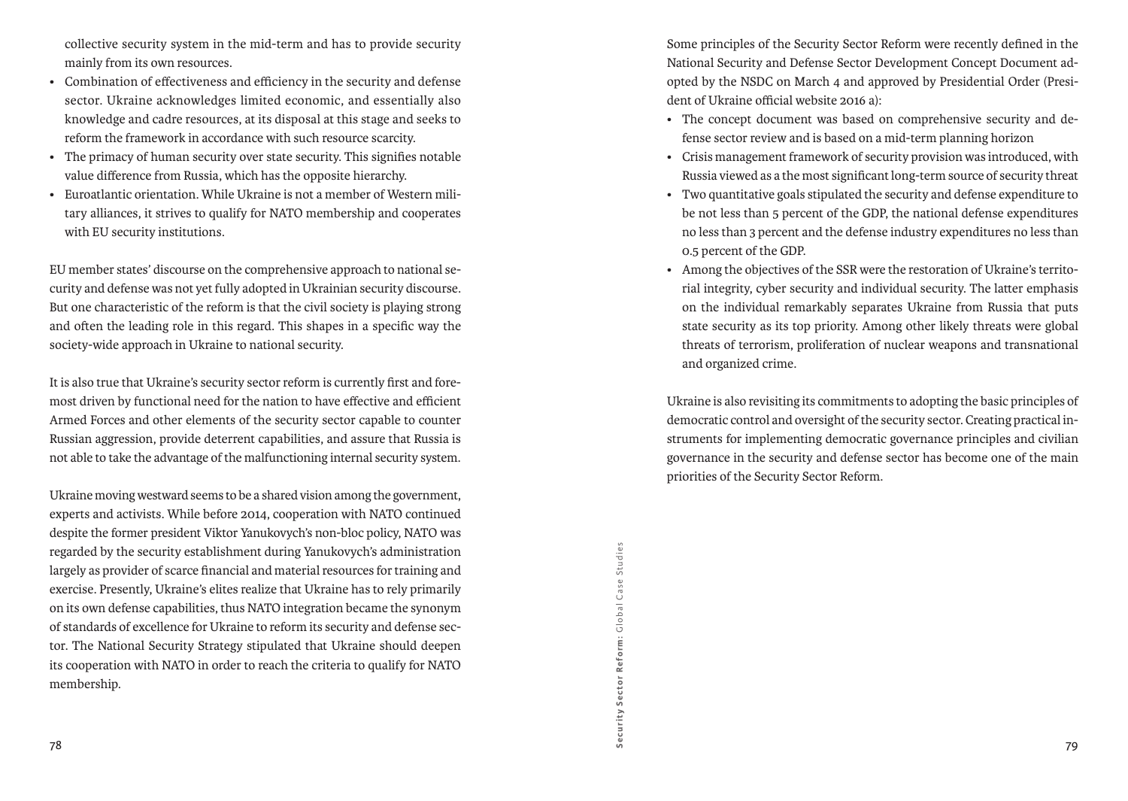collective security system in the mid-term and has to provide security mainly from its own resources.

- • Combination of effectiveness and efficiency in the security and defense sector. Ukraine acknowledges limited economic, and essentially also knowledge and cadre resources, at its disposal at this stage and seeks to reform the framework in accordance with such resource scarcity.
- The primacy of human security over state security. This signifies notable value difference from Russia, which has the opposite hierarchy.
- • Euroatlantic orientation. While Ukraine is not a member of Western military alliances, it strives to qualify for NATO membership and cooperates with EU security institutions.

EU member states' discourse on the comprehensive approach to national security and defense was not yet fully adopted in Ukrainian security discourse. But one characteristic of the reform is that the civil society is playing strong and often the leading role in this regard. This shapes in a specific way the society-wide approach in Ukraine to national security.

It is also true that Ukraine's security sector reform is currently first and foremost driven by functional need for the nation to have effective and efficient Armed Forces and other elements of the security sector capable to counter Russian aggression, provide deterrent capabilities, and assure that Russia is not able to take the advantage of the malfunctioning internal security system.

Ukraine moving westward seems to be a shared vision among the government, experts and activists. While before 2014, cooperation with NATO continued despite the former president Viktor Yanukovych's non-bloc policy, NATO was regarded by the security establishment during Yanukovych's administration largely as provider of scarce financial and material resources for training and exercise. Presently, Ukraine's elites realize that Ukraine has to rely primarily on its own defense capabilities, thus NATO integration became the synonym of standards of excellence for Ukraine to reform its security and defense sector. The National Security Strategy stipulated that Ukraine should deepen its cooperation with NATO in order to reach the criteria to qualify for NATO membership.

Some principles of the Security Sector Reform were recently defined in the National Security and Defense Sector Development Concept Document adopted by the NSDC on March 4 and approved by Presidential Order (President of Ukraine official website 2016 a):

- The concept document was based on comprehensive security and defense sector review and is based on a mid-term planning horizon
- • Crisis management framework of security provision was introduced, with Russia viewed as a the most significant long-term source of security threat
- • Two quantitative goals stipulated the security and defense expenditure to be not less than 5 percent of the GDP, the national defense expenditures no less than 3 percent and the defense industry expenditures no less than 0.5 percent of the GDP.
- • Among the objectives of the SSR were the restoration of Ukraine's territorial integrity, cyber security and individual security. The latter emphasis on the individual remarkably separates Ukraine from Russia that puts state security as its top priority. Among other likely threats were global threats of terrorism, proliferation of nuclear weapons and transnational and organized crime.

Ukraine is also revisiting its commitments to adopting the basic principles of democratic control and oversight of the security sector. Creating practical instruments for implementing democratic governance principles and civilian governance in the security and defense sector has become one of the main priorities of the Security Sector Reform.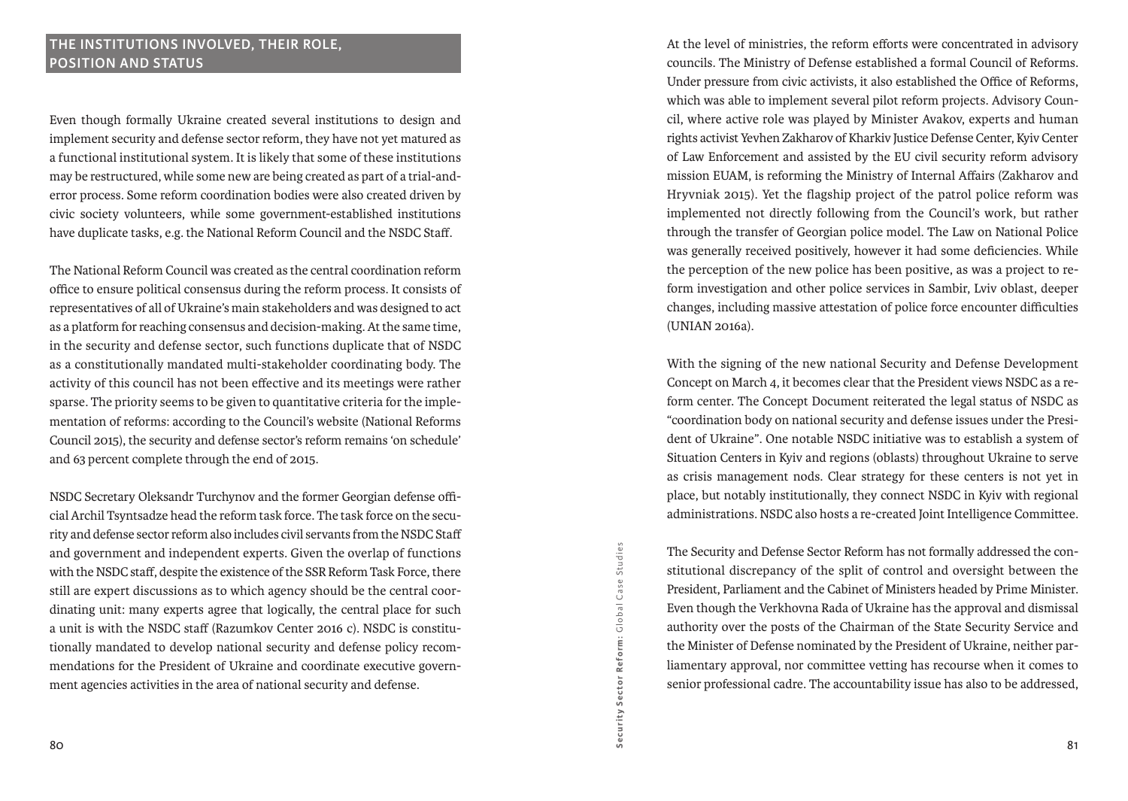### **The institutions involved, their role, position and status**

Even though formally Ukraine created several institutions to design and implement security and defense sector reform, they have not yet matured as a functional institutional system. It is likely that some of these institutions may be restructured, while some new are being created as part of a trial-anderror process. Some reform coordination bodies were also created driven by civic society volunteers, while some government-established institutions have duplicate tasks, e.g. the National Reform Council and the NSDC Staff.

The National Reform Council was created as the central coordination reform office to ensure political consensus during the reform process. It consists of representatives of all of Ukraine's main stakeholders and was designed to act as a platform for reaching consensus and decision-making. At the same time, in the security and defense sector, such functions duplicate that of NSDC as a constitutionally mandated multi-stakeholder coordinating body. The activity of this council has not been effective and its meetings were rather sparse. The priority seems to be given to quantitative criteria for the implementation of reforms: according to the Council's website (National Reforms Council 2015), the security and defense sector's reform remains 'on schedule' and 63 percent complete through the end of 2015.

NSDC Secretary Oleksandr Turchynov and the former Georgian defense official Archil Tsyntsadze head the reform task force. The task force on the security and defense sector reform also includes civil servants from the NSDC Staff and government and independent experts. Given the overlap of functions with the NSDC staff, despite the existence of the SSR Reform Task Force, there still are expert discussions as to which agency should be the central coordinating unit: many experts agree that logically, the central place for such a unit is with the NSDC staff (Razumkov Center 2016 c). NSDC is constitutionally mandated to develop national security and defense policy recommendations for the President of Ukraine and coordinate executive government agencies activities in the area of national security and defense.

At the level of ministries, the reform efforts were concentrated in advisory councils. The Ministry of Defense established a formal Council of Reforms. Under pressure from civic activists, it also established the Office of Reforms, which was able to implement several pilot reform projects. Advisory Council, where active role was played by Minister Avakov, experts and human rights activist Yevhen Zakharov of Kharkiv Justice Defense Center, Kyiv Center of Law Enforcement and assisted by the EU civil security reform advisory mission EUAM, is reforming the Ministry of Internal Affairs (Zakharov and Hryvniak 2015). Yet the flagship project of the patrol police reform was implemented not directly following from the Council's work, but rather through the transfer of Georgian police model. The Law on National Police was generally received positively, however it had some deficiencies. While the perception of the new police has been positive, as was a project to reform investigation and other police services in Sambir, Lviv oblast, deeper changes, including massive attestation of police force encounter difficulties (UNIAN 2016a).

With the signing of the new national Security and Defense Development Concept on March 4, it becomes clear that the President views NSDC as a reform center. The Concept Document reiterated the legal status of NSDC as "coordination body on national security and defense issues under the President of Ukraine". One notable NSDC initiative was to establish a system of Situation Centers in Kyiv and regions (oblasts) throughout Ukraine to serve as crisis management nods. Clear strategy for these centers is not yet in place, but notably institutionally, they connect NSDC in Kyiv with regional administrations. NSDC also hosts a re-created Joint Intelligence Committee.

The Security and Defense Sector Reform has not formally addressed the constitutional discrepancy of the split of control and oversight between the President, Parliament and the Cabinet of Ministers headed by Prime Minister. Even though the Verkhovna Rada of Ukraine has the approval and dismissal authority over the posts of the Chairman of the State Security Service and the Minister of Defense nominated by the President of Ukraine, neither parliamentary approval, nor committee vetting has recourse when it comes to senior professional cadre. The accountability issue has also to be addressed,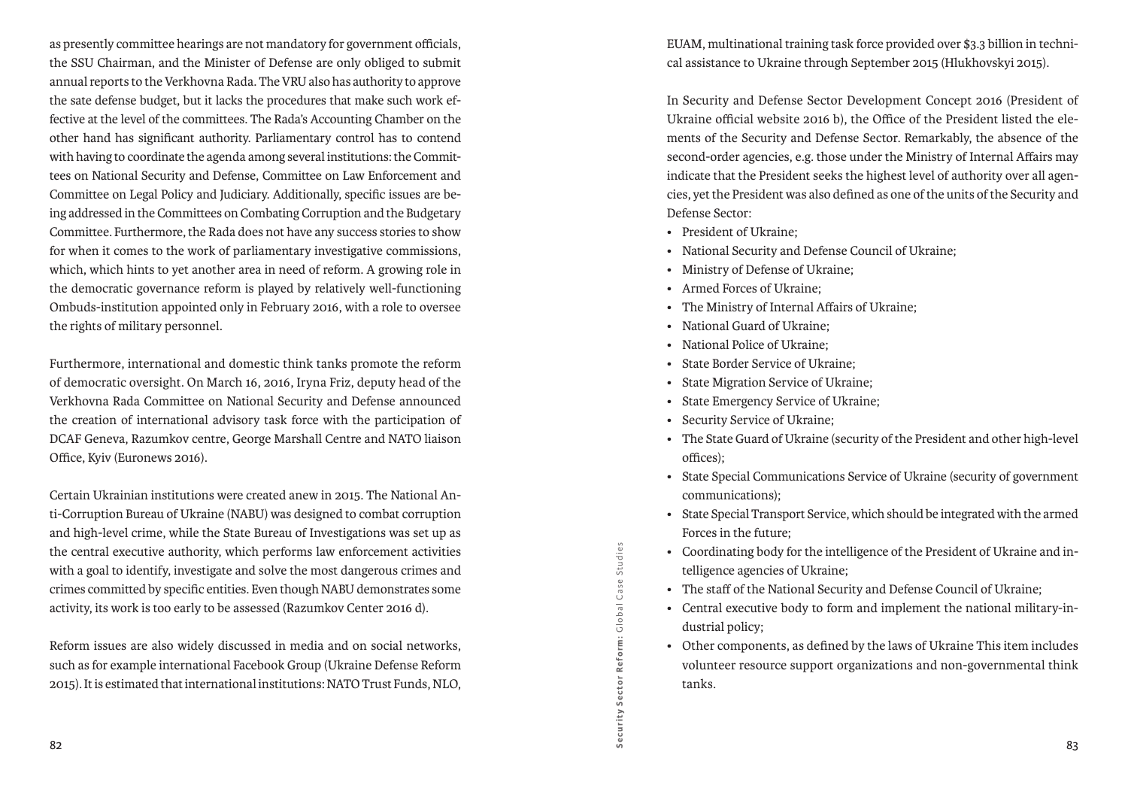as presently committee hearings are not mandatory for government officials, the SSU Chairman, and the Minister of Defense are only obliged to submit annual reports to the Verkhovna Rada. The VRU also has authority to approve the sate defense budget, but it lacks the procedures that make such work effective at the level of the committees. The Rada's Accounting Chamber on the other hand has significant authority. Parliamentary control has to contend with having to coordinate the agenda among several institutions: the Committees on National Security and Defense, Committee on Law Enforcement and Committee on Legal Policy and Judiciary. Additionally, specific issues are being addressed in the Committees on Combating Corruption and the Budgetary Committee. Furthermore, the Rada does not have any success stories to show for when it comes to the work of parliamentary investigative commissions, which, which hints to yet another area in need of reform. A growing role in the democratic governance reform is played by relatively well-functioning Ombuds-institution appointed only in February 2016, with a role to oversee the rights of military personnel.

Furthermore, international and domestic think tanks promote the reform of democratic oversight. On March 16, 2016, Iryna Friz, deputy head of the Verkhovna Rada Committee on National Security and Defense announced the creation of international advisory task force with the participation of DCAF Geneva, Razumkov centre, George Marshall Centre and NATO liaison Office, Kyiv (Euronews 2016).

Certain Ukrainian institutions were created anew in 2015. The National Anti-Corruption Bureau of Ukraine (NABU) was designed to combat corruption and high-level crime, while the State Bureau of Investigations was set up as the central executive authority, which performs law enforcement activities with a goal to identify, investigate and solve the most dangerous crimes and crimes committed by specific entities. Even though NABU demonstrates some activity, its work is too early to be assessed (Razumkov Center 2016 d).

Reform issues are also widely discussed in media and on social networks, such as for example international Facebook Group (Ukraine Defense Reform 2015). It is estimated that international institutions: NATO Trust Funds, NLO, EUAM, multinational training task force provided over \$3.3 billion in technical assistance to Ukraine through September 2015 (Hlukhovskyi 2015).

In Security and Defense Sector Development Concept 2016 (President of Ukraine official website 2016 b), the Office of the President listed the elements of the Security and Defense Sector. Remarkably, the absence of the second-order agencies, e.g. those under the Ministry of Internal Affairs may indicate that the President seeks the highest level of authority over all agencies, yet the President was also defined as one of the units of the Security and Defense Sector:

- President of Ukraine:
- National Security and Defense Council of Ukraine;
- Ministry of Defense of Ukraine;
- • Armed Forces of Ukraine;
- • The Ministry of Internal Affairs of Ukraine;
- National Guard of Ukraine:
- National Police of Ukraine:
- State Border Service of Ukraine:
- • State Migration Service of Ukraine;
- • State Emergency Service of Ukraine;
- Security Service of Ukraine:
- • The State Guard of Ukraine (security of the President and other high-level offices);
- State Special Communications Service of Ukraine (security of government communications);
- • State Special Transport Service, which should be integrated with the armed Forces in the future;
- • Coordinating body for the intelligence of the President of Ukraine and intelligence agencies of Ukraine;
- The staff of the National Security and Defense Council of Ukraine:
- Central executive body to form and implement the national military-industrial policy;
- • Other components, as defined by the laws of Ukraine This item includes volunteer resource support organizations and non-governmental think tanks.

Security Sector Reform:

Security Sector Reform: Global

G lobal Case Studies

Case:

Studies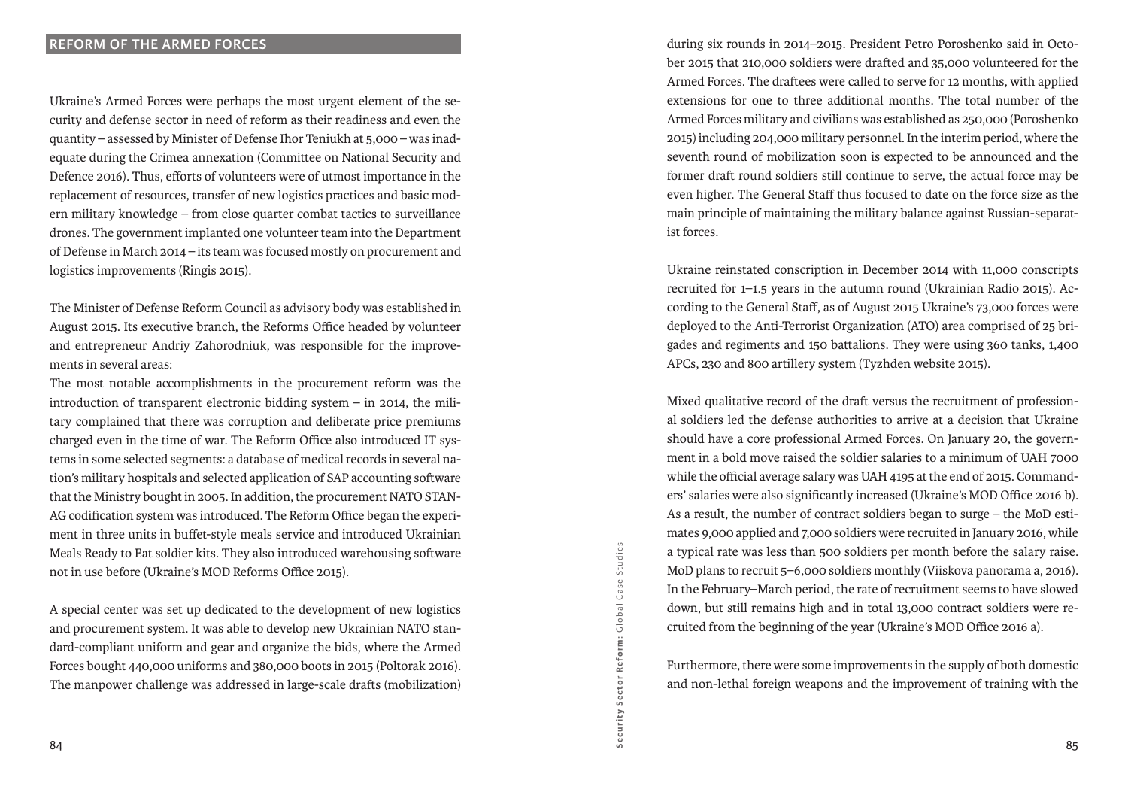Ukraine's Armed Forces were perhaps the most urgent element of the security and defense sector in need of reform as their readiness and even the quantity – assessed by Minister of Defense Ihor Teniukh at 5,000 – was inadequate during the Crimea annexation (Committee on National Security and Defence 2016). Thus, efforts of volunteers were of utmost importance in the replacement of resources, transfer of new logistics practices and basic modern military knowledge – from close quarter combat tactics to surveillance drones. The government implanted one volunteer team into the Department of Defense in March 2014 – its team was focused mostly on procurement and logistics improvements (Ringis 2015).

The Minister of Defense Reform Council as advisory body was established in August 2015. Its executive branch, the Reforms Office headed by volunteer and entrepreneur Andriy Zahorodniuk, was responsible for the improvements in several areas:

The most notable accomplishments in the procurement reform was the introduction of transparent electronic bidding system  $-$  in 2014, the military complained that there was corruption and deliberate price premiums charged even in the time of war. The Reform Office also introduced IT systems in some selected segments: a database of medical records in several nation's military hospitals and selected application of SAP accounting software that the Ministry bought in 2005. In addition, the procurement NATO STAN-AG codification system was introduced. The Reform Office began the experiment in three units in buffet-style meals service and introduced Ukrainian Meals Ready to Eat soldier kits. They also introduced warehousing software not in use before (Ukraine's MOD Reforms Office 2015).

A special center was set up dedicated to the development of new logistics and procurement system. It was able to develop new Ukrainian NATO standard-compliant uniform and gear and organize the bids, where the Armed Forces bought 440,000 uniforms and 380,000 boots in 2015 (Poltorak 2016). The manpower challenge was addressed in large-scale drafts (mobilization) during six rounds in 2014–2015. President Petro Poroshenko said in October 2015 that 210,000 soldiers were drafted and 35,000 volunteered for the Armed Forces. The draftees were called to serve for 12 months, with applied extensions for one to three additional months. The total number of the Armed Forces military and civilians was established as 250,000 (Poroshenko 2015) including 204,000 military personnel. In the interim period, where the seventh round of mobilization soon is expected to be announced and the former draft round soldiers still continue to serve, the actual force may be even higher. The General Staff thus focused to date on the force size as the main principle of maintaining the military balance against Russian-separatist forces.

Ukraine reinstated conscription in December 2014 with 11,000 conscripts recruited for 1–1.5 years in the autumn round (Ukrainian Radio 2015). According to the General Staff, as of August 2015 Ukraine's 73,000 forces were deployed to the Anti-Terrorist Organization (ATO) area comprised of 25 brigades and regiments and 150 battalions. They were using 360 tanks, 1,400 APCs, 230 and 800 artillery system (Tyzhden website 2015).

Mixed qualitative record of the draft versus the recruitment of professional soldiers led the defense authorities to arrive at a decision that Ukraine should have a core professional Armed Forces. On January 20, the government in a bold move raised the soldier salaries to a minimum of UAH 7000 while the official average salary was UAH 4195 at the end of 2015. Commanders' salaries were also significantly increased (Ukraine's MOD Office 2016 b). As a result, the number of contract soldiers began to surge – the MoD estimates 9,000 applied and 7,000 soldiers were recruited in January 2016, while a typical rate was less than 500 soldiers per month before the salary raise. MoD plans to recruit 5–6,000 soldiers monthly (Viiskova panorama a, 2016). In the February–March period, the rate of recruitment seems to have slowed down, but still remains high and in total 13,000 contract soldiers were recruited from the beginning of the year (Ukraine's MOD Office 2016 a).

Furthermore, there were some improvements in the supply of both domestic and non-lethal foreign weapons and the improvement of training with the

Security Sector Reform:

Security Sector Reform: Global Case Studies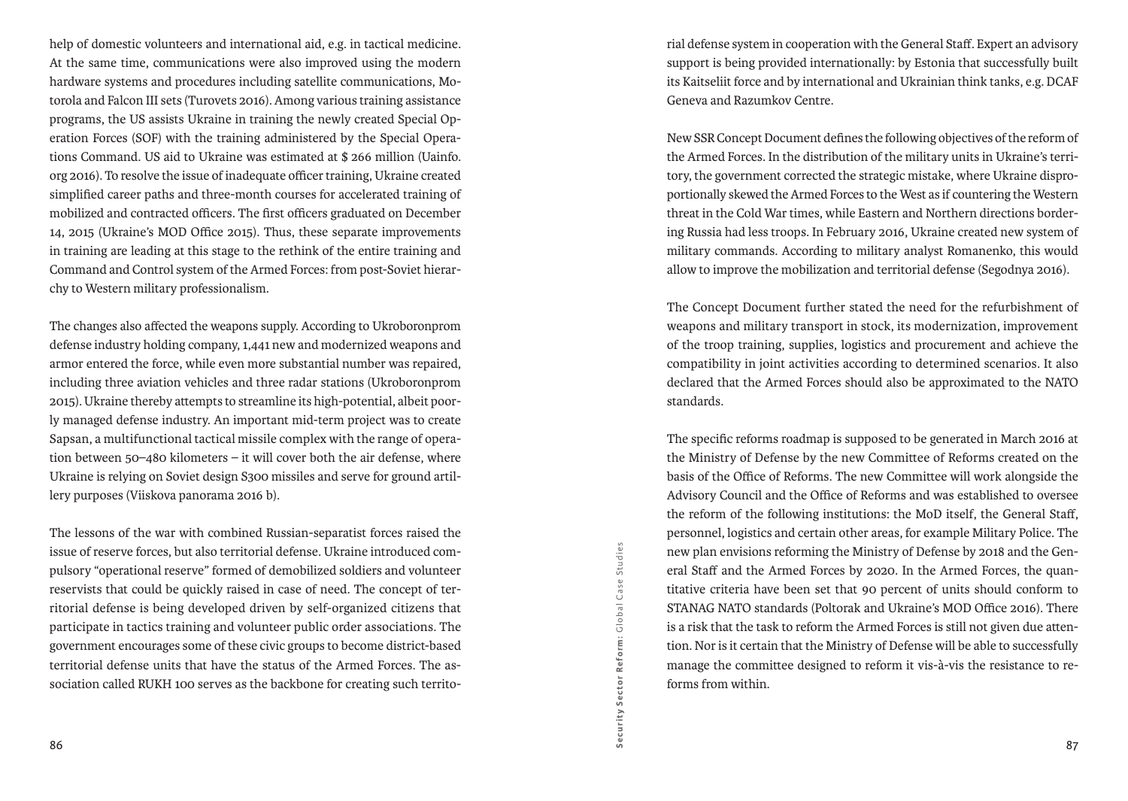help of domestic volunteers and international aid, e.g. in tactical medicine. At the same time, communications were also improved using the modern hardware systems and procedures including satellite communications, Motorola and Falcon III sets (Turovets 2016). Among various training assistance programs, the US assists Ukraine in training the newly created Special Operation Forces (SOF) with the training administered by the Special Operations Command. US aid to Ukraine was estimated at \$ 266 million (Uainfo. org 2016). To resolve the issue of inadequate officer training, Ukraine created simplified career paths and three-month courses for accelerated training of mobilized and contracted officers. The first officers graduated on December 14, 2015 (Ukraine's MOD Office 2015). Thus, these separate improvements in training are leading at this stage to the rethink of the entire training and Command and Control system of the Armed Forces: from post-Soviet hierarchy to Western military professionalism.

The changes also affected the weapons supply. According to Ukroboronprom defense industry holding company, 1,441 new and modernized weapons and armor entered the force, while even more substantial number was repaired, including three aviation vehicles and three radar stations (Ukroboronprom 2015). Ukraine thereby attempts to streamline its high-potential, albeit poorly managed defense industry. An important mid-term project was to create Sapsan, a multifunctional tactical missile complex with the range of operation between 50–480 kilometers – it will cover both the air defense, where Ukraine is relying on Soviet design S300 missiles and serve for ground artillery purposes (Viiskova panorama 2016 b).

The lessons of the war with combined Russian-separatist forces raised the issue of reserve forces, but also territorial defense. Ukraine introduced compulsory "operational reserve" formed of demobilized soldiers and volunteer reservists that could be quickly raised in case of need. The concept of territorial defense is being developed driven by self-organized citizens that participate in tactics training and volunteer public order associations. The government encourages some of these civic groups to become district-based territorial defense units that have the status of the Armed Forces. The association called RUKH 100 serves as the backbone for creating such territorial defense system in cooperation with the General Staff. Expert an advisory support is being provided internationally: by Estonia that successfully built its Kaitseliit force and by international and Ukrainian think tanks, e.g. DCAF Geneva and Razumkov Centre.

New SSR Concept Document defines the following objectives of the reform of the Armed Forces. In the distribution of the military units in Ukraine's territory, the government corrected the strategic mistake, where Ukraine disproportionally skewed the Armed Forces to the West as if countering the Western threat in the Cold War times, while Eastern and Northern directions bordering Russia had less troops. In February 2016, Ukraine created new system of military commands. According to military analyst Romanenko, this would allow to improve the mobilization and territorial defense (Segodnya 2016).

The Concept Document further stated the need for the refurbishment of weapons and military transport in stock, its modernization, improvement of the troop training, supplies, logistics and procurement and achieve the compatibility in joint activities according to determined scenarios. It also declared that the Armed Forces should also be approximated to the NATO standards.

The specific reforms roadmap is supposed to be generated in March 2016 at the Ministry of Defense by the new Committee of Reforms created on the basis of the Office of Reforms. The new Committee will work alongside the Advisory Council and the Office of Reforms and was established to oversee the reform of the following institutions: the MoD itself, the General Staff, personnel, logistics and certain other areas, for example Military Police. The new plan envisions reforming the Ministry of Defense by 2018 and the General Staff and the Armed Forces by 2020. In the Armed Forces, the quantitative criteria have been set that 90 percent of units should conform to STANAG NATO standards (Poltorak and Ukraine's MOD Office 2016). There is a risk that the task to reform the Armed Forces is still not given due attention. Nor is it certain that the Ministry of Defense will be able to successfully manage the committee designed to reform it vis-à-vis the resistance to reforms from within.

Security Sector Reform: Global Case Studies G lobal Case Studies Security Sector Reform: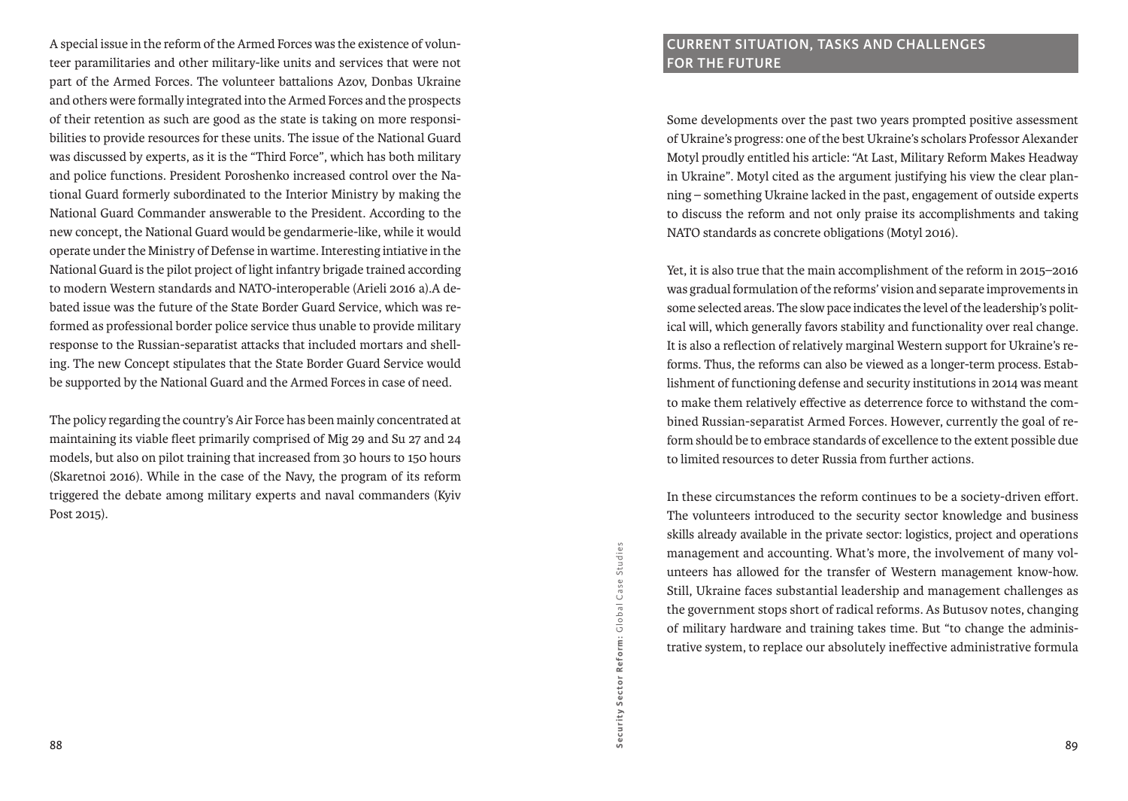A special issue in the reform of the Armed Forces was the existence of volunteer paramilitaries and other military-like units and services that were not part of the Armed Forces. The volunteer battalions Azov, Donbas Ukraine and others were formally integrated into the Armed Forces and the prospects of their retention as such are good as the state is taking on more responsibilities to provide resources for these units. The issue of the National Guard was discussed by experts, as it is the "Third Force", which has both military and police functions. President Poroshenko increased control over the National Guard formerly subordinated to the Interior Ministry by making the National Guard Commander answerable to the President. According to the new concept, the National Guard would be gendarmerie-like, while it would operate under the Ministry of Defense in wartime. Interesting intiative in the National Guard is the pilot project of light infantry brigade trained according to modern Western standards and NATO-interoperable (Arieli 2016 a).A debated issue was the future of the State Border Guard Service, which was reformed as professional border police service thus unable to provide military response to the Russian-separatist attacks that included mortars and shelling. The new Concept stipulates that the State Border Guard Service would be supported by the National Guard and the Armed Forces in case of need.

The policy regarding the country's Air Force has been mainly concentrated at maintaining its viable fleet primarily comprised of Mig 29 and Su 27 and 24 models, but also on pilot training that increased from 30 hours to 150 hours (Skaretnoi 2016). While in the case of the Navy, the program of its reform triggered the debate among military experts and naval commanders (Kyiv Post 2015).

# **Current situation, tasks and challenges for the future**

Some developments over the past two years prompted positive assessment of Ukraine's progress: one of the best Ukraine's scholars Professor Alexander Motyl proudly entitled his article: "At Last, Military Reform Makes Headway in Ukraine". Motyl cited as the argument justifying his view the clear planning – something Ukraine lacked in the past, engagement of outside experts to discuss the reform and not only praise its accomplishments and taking NATO standards as concrete obligations (Motyl 2016).

Yet, it is also true that the main accomplishment of the reform in 2015–2016 was gradual formulation of the reforms' vision and separate improvements in some selected areas. The slow pace indicates the level of the leadership's political will, which generally favors stability and functionality over real change. It is also a reflection of relatively marginal Western support for Ukraine's reforms. Thus, the reforms can also be viewed as a longer-term process. Establishment of functioning defense and security institutions in 2014 was meant to make them relatively effective as deterrence force to withstand the combined Russian-separatist Armed Forces. However, currently the goal of reform should be to embrace standards of excellence to the extent possible due to limited resources to deter Russia from further actions.

In these circumstances the reform continues to be a society-driven effort. The volunteers introduced to the security sector knowledge and business skills already available in the private sector: logistics, project and operations management and accounting. What's more, the involvement of many volunteers has allowed for the transfer of Western management know-how. Still, Ukraine faces substantial leadership and management challenges as the government stops short of radical reforms. As Butusov notes, changing of military hardware and training takes time. But "to change the administrative system, to replace our absolutely ineffective administrative formula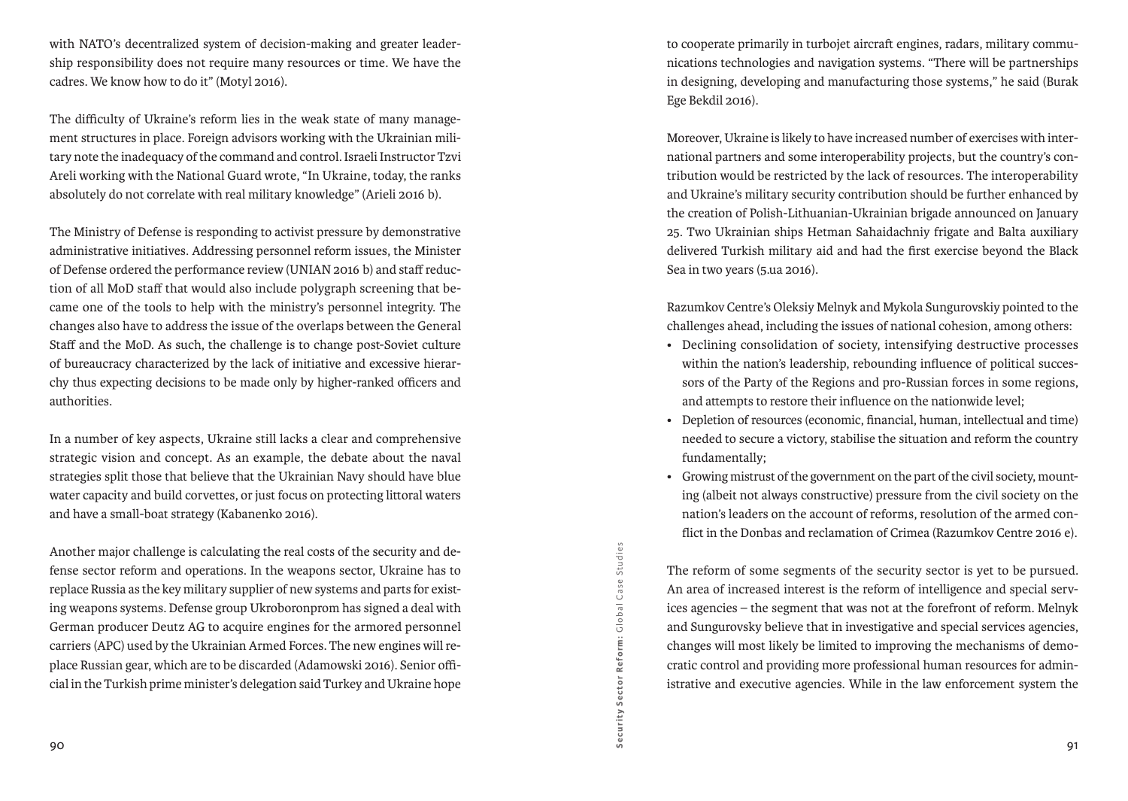with NATO's decentralized system of decision-making and greater leadership responsibility does not require many resources or time. We have the cadres. We know how to do it" (Motyl 2016).

The difficulty of Ukraine's reform lies in the weak state of many management structures in place. Foreign advisors working with the Ukrainian military note the inadequacy of the command and control. Israeli Instructor Tzvi Areli working with the National Guard wrote, "In Ukraine, today, the ranks absolutely do not correlate with real military knowledge" (Arieli 2016 b).

The Ministry of Defense is responding to activist pressure by demonstrative administrative initiatives. Addressing personnel reform issues, the Minister of Defense ordered the performance review (UNIAN 2016 b) and staff reduction of all MoD staff that would also include polygraph screening that became one of the tools to help with the ministry's personnel integrity. The changes also have to address the issue of the overlaps between the General Staff and the MoD. As such, the challenge is to change post-Soviet culture of bureaucracy characterized by the lack of initiative and excessive hierarchy thus expecting decisions to be made only by higher-ranked officers and authorities.

In a number of key aspects, Ukraine still lacks a clear and comprehensive strategic vision and concept. As an example, the debate about the naval strategies split those that believe that the Ukrainian Navy should have blue water capacity and build corvettes, or just focus on protecting littoral waters and have a small-boat strategy (Kabanenko 2016).

Another major challenge is calculating the real costs of the security and defense sector reform and operations. In the weapons sector, Ukraine has to replace Russia as the key military supplier of new systems and parts for existing weapons systems. Defense group Ukroboronprom has signed a deal with German producer Deutz AG to acquire engines for the armored personnel carriers (APC) used by the Ukrainian Armed Forces. The new engines will replace Russian gear, which are to be discarded (Adamowski 2016). Senior official in the Turkish prime minister's delegation said Turkey and Ukraine hope

to cooperate primarily in turbojet aircraft engines, radars, military communications technologies and navigation systems. "There will be partnerships in designing, developing and manufacturing those systems," he said (Burak Ege Bekdil 2016).

Moreover, Ukraine is likely to have increased number of exercises with international partners and some interoperability projects, but the country's contribution would be restricted by the lack of resources. The interoperability and Ukraine's military security contribution should be further enhanced by the creation of Polish-Lithuanian-Ukrainian brigade announced on January 25. Two Ukrainian ships Hetman Sahaidachniy frigate and Balta auxiliary delivered Turkish military aid and had the first exercise beyond the Black Sea in two years (5.ua 2016).

Razumkov Centre's Oleksiy Melnyk and Mykola Sungurovskiy pointed to the challenges ahead, including the issues of national cohesion, among others:

- Declining consolidation of society, intensifying destructive processes within the nation's leadership, rebounding influence of political successors of the Party of the Regions and pro-Russian forces in some regions, and attempts to restore their influence on the nationwide level;
- Depletion of resources (economic, financial, human, intellectual and time) needed to secure a victory, stabilise the situation and reform the country fundamentally;
- • Growing mistrust of the government on the part of the civil society, mounting (albeit not always constructive) pressure from the civil society on the nation's leaders on the account of reforms, resolution of the armed conflict in the Donbas and reclamation of Crimea (Razumkov Centre 2016 e).

The reform of some segments of the security sector is yet to be pursued. An area of increased interest is the reform of intelligence and special services agencies – the segment that was not at the forefront of reform. Melnyk and Sungurovsky believe that in investigative and special services agencies, changes will most likely be limited to improving the mechanisms of democratic control and providing more professional human resources for administrative and executive agencies. While in the law enforcement system the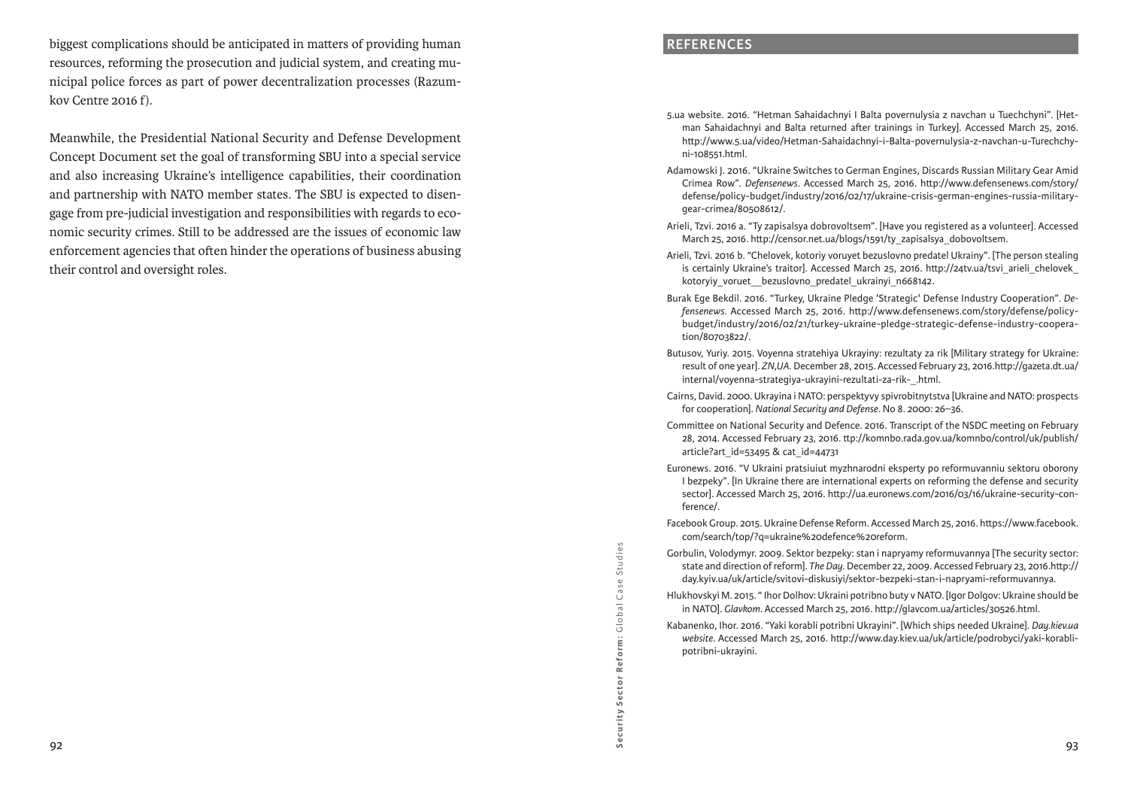biggest complications should be anticipated in matters of providing human resources, reforming the prosecution and judicial system, and creating municipal police forces as part of power decentralization processes (Razumkov Centre 2016 f).

Meanwhile, the Presidential National Security and Defense Development Concept Document set the goal of transforming SBU into a special service and also increasing Ukraine's intelligence capabilities, their coordination and partnership with NATO member states. The SBU is expected to disengage from pre-judicial investigation and responsibilities with regards to economic security crimes. Still to be addressed are the issues of economic law enforcement agencies that often hinder the operations of business abusing their control and oversight roles.

#### **References**

- 5.ua website. 2016. "Hetman Sahaidachnyi I Balta povernulysia z navchan u Tuechchyni". [Hetman Sahaidachnyi and Balta returned after trainings in Turkey]. Accessed March 25, 2016. http://www.5.ua/video/Hetman-Sahaidachnyi-i-Balta-povernulysia-z-navchan-u-Turechchyni-108551.html.
- Adamowski J. 2016. "Ukraine Switches to German Engines, Discards Russian Military Gear Amid Crimea Row". *Defensenews*. Accessed March 25, 2016. http://www.defensenews.com/story/ defense/policy-budget/industry/2016/02/17/ukraine-crisis-german-engines-russia-militarygear-crimea/80508612/.
- Arieli, Tzvi. 2016 a. "Ty zapisalsya dobrovoltsem". [Have you registered as a volunteer]. Accessed March 25, 2016. http://censor.net.ua/blogs/1591/ty\_zapisalsya\_dobovoltsem.
- Arieli, Tzvi. 2016 b. "Chelovek, kotoriy voruyet bezuslovno predatel Ukrainy". [The person stealing is certainly Ukraine's traitor]. Accessed March 25, 2016. http://24tv.ua/tsvi\_arieli\_chelovek\_ kotoryiy voruet bezuslovno predatel ukrainyi n668142.
- Burak Ege Bekdil. 2016. "Turkey, Ukraine Pledge 'Strategic' Defense Industry Cooperation". *Defensenews.* Accessed March 25, 2016. http://www.defensenews.com/story/defense/policybudget/industry/2016/02/21/turkey-ukraine-pledge-strategic-defense-industry-cooperation/80703822/.
- Butusov, Yuriy. 2015. Voyenna stratehiya Ukrayiny: rezultaty za rik [Military strategy for Ukraine: result of one year]. *ZN,UA.* December 28, 2015. Accessed February 23, 2016.http://gazeta.dt.ua/ internal/voyenna-strategiya-ukrayini-rezultati-za-rik-\_.html.
- Cairns, David. 2000. Ukrayina i NATO: perspektyvy spivrobitnytstva [Ukraine and NATO: prospects for cooperation]. *National Security and Defense*. No 8. 2000: 26–36.
- Committee on National Security and Defence. 2016. Transcript of the NSDC meeting on February 28, 2014. Accessed February 23, 2016. ttp://komnbo.rada.gov.ua/komnbo/control/uk/publish/ article?art\_id=53495 & cat\_id=44731
- Euronews. 2016. "V Ukraini pratsiuiut myzhnarodni eksperty po reformuvanniu sektoru oborony I bezpeky". [In Ukraine there are international experts on reforming the defense and security sector]. Accessed March 25, 2016. http://ua.euronews.com/2016/03/16/ukraine-security-conference/.
- Facebook Group. 2015. Ukraine Defense Reform. Accessed March 25, 2016. https://www.facebook. com/search/top/?q=ukraine%20defence%20reform.
- Gorbulin, Volodymyr. 2009. Sektor bezpeky: stan i napryamy reformuvannya [The security sector: state and direction of reform]. *The Day.* December 22, 2009. Accessed February 23, 2016.http:// day.kyiv.ua/uk/article/svitovi-diskusiyi/sektor-bezpeki-stan-i-napryami-reformuvannya.
- Hlukhovskyi M. 2015. " Ihor Dolhov: Ukraini potribno buty v NATO. [Igor Dolgov: Ukraine should be in NATO]. *Glavkom*. Accessed March 25, 2016. http://glavcom.ua/articles/30526.html.
- Kabanenko, Ihor. 2016. "Yaki korabli potribni Ukrayini". [Which ships needed Ukraine]. *Day.kiev.ua website*. Accessed March 25, 2016. http://www.day.kiev.ua/uk/article/podrobyci/yaki-korablipotribni-ukrayini.

Reform: Global Case Studies G lobal Case Studies Security Sector Reform: Security Sector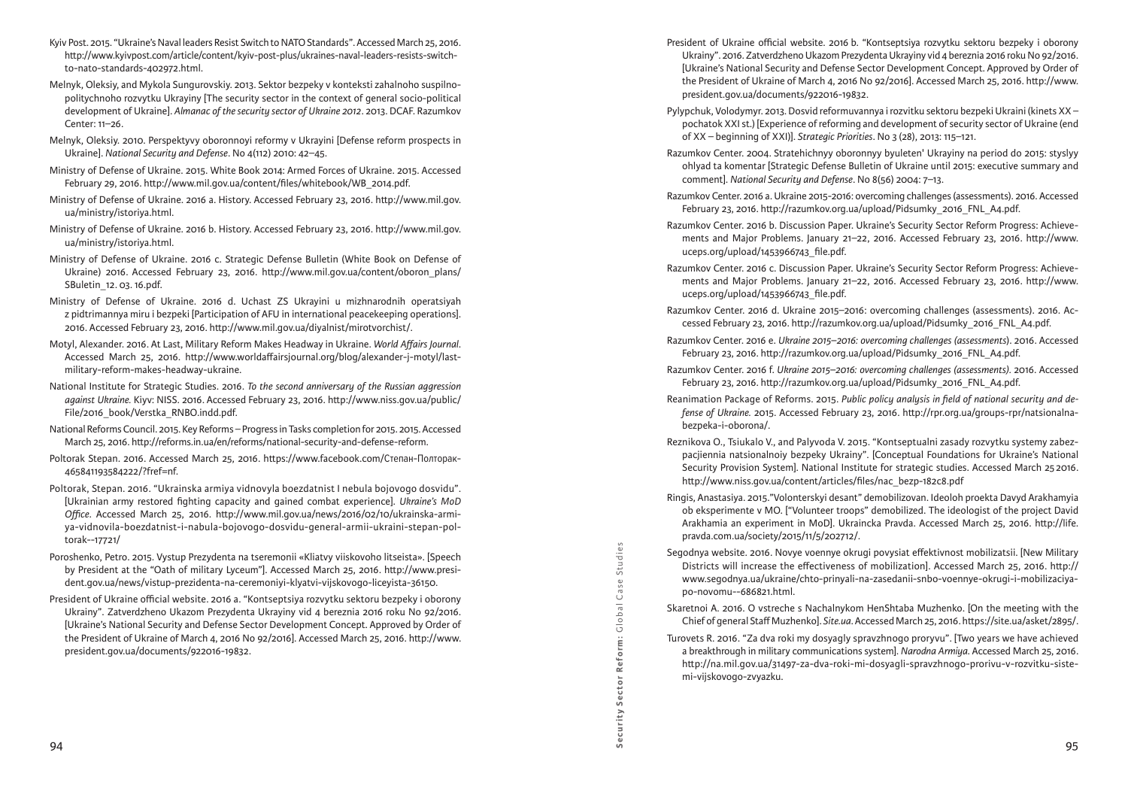- Kyiv Post. 2015. "Ukraine's Naval leaders Resist Switch to NATO Standards". Accessed March 25, 2016. http://www.kyivpost.com/article/content/kyiv-post-plus/ukraines-naval-leaders-resists-switchto-nato-standards-402972.html.
- Melnyk, Oleksiy, and Mykola Sungurovskiy. 2013. Sektor bezpeky v konteksti zahalnoho suspilnopolitychnoho rozvytku Ukrayiny [The security sector in the context of general socio-political development of Ukraine]. *Almanac of the security sector of Ukraine 2012*. 2013. DCAF. Razumkov Center: 11–26.
- Melnyk, Oleksiy. 2010. Perspektyvy oboronnoyi reformy v Ukrayini [Defense reform prospects in Ukraine]. *National Security and Defense*. No 4(112) 2010: 42–45.
- Ministry of Defense of Ukraine. 2015. White Book 2014: Armed Forces of Ukraine. 2015. Accessed February 29, 2016. http://www.mil.gov.ua/content/files/whitebook/WB\_2014.pdf.
- Ministry of Defense of Ukraine. 2016 a. History. Accessed February 23, 2016. http://www.mil.gov. ua/ministry/istoriya.html.
- Ministry of Defense of Ukraine. 2016 b. History. Accessed February 23, 2016. http://www.mil.gov. ua/ministry/istoriya.html.
- Ministry of Defense of Ukraine. 2016 c. Strategic Defense Bulletin (White Book on Defense of Ukraine) 2016. Accessed February 23, 2016. http://www.mil.gov.ua/content/oboron\_plans/ SBuletin\_12. 03. 16.pdf.
- Ministry of Defense of Ukraine. 2016 d. Uchast ZS Ukrayini u mizhnarodnih operatsiyah z pidtrimannya miru i bezpeki [Participation of AFU in international peacekeeping operations]. 2016. Accessed February 23, 2016. http://www.mil.gov.ua/diyalnist/mirotvorchist/.
- Motyl, Alexander. 2016. At Last, Military Reform Makes Headway in Ukraine. *World Affairs Journal*. Accessed March 25, 2016. http://www.worldaffairsjournal.org/blog/alexander-j-motyl/lastmilitary-reform-makes-headway-ukraine.
- National Institute for Strategic Studies. 2016. *To the second anniversary of the Russian aggression against Ukraine.* Kiyv: NISS. 2016. Accessed February 23, 2016. http://www.niss.gov.ua/public/ File/2016\_book/Verstka\_RNBO.indd.pdf.
- National Reforms Council. 2015. Key Reforms Progress in Tasks completion for 2015. 2015. Accessed March 25, 2016. http://reforms.in.ua/en/reforms/national-security-and-defense-reform.
- Poltorak Stepan. 2016. Accessed March 25, 2016. https://www.facebook.com/Степан-Полторак-465841193584222/?fref=nf.
- Poltorak, Stepan. 2016. "Ukrainska armiya vidnovyla boezdatnist I nebula bojovogo dosvidu". [Ukrainian army restored fighting capacity and gained combat experience]. *Ukraine's MoD Office*. Accessed March 25, 2016. http://www.mil.gov.ua/news/2016/02/10/ukrainska-armiya-vidnovila-boezdatnist-i-nabula-bojovogo-dosvidu-general-armii-ukraini-stepan-poltorak--17721/
- Poroshenko, Petro. 2015. Vystup Prezydenta na tseremonii «Kliatvy viiskovoho litseista». [Speech by President at the "Oath of military Lyceum"]. Accessed March 25, 2016. http://www.president.gov.ua/news/vistup-prezidenta-na-ceremoniyi-klyatvi-vijskovogo-liceyista-36150.
- President of Ukraine official website. 2016 a. "Kontseptsiya rozvytku sektoru bezpeky i oborony Ukrainy". Zatverdzheno Ukazom Prezydenta Ukrayiny vid 4 bereznia 2016 roku No 92/2016. [Ukraine's National Security and Defense Sector Development Concept. Approved by Order of the President of Ukraine of March 4, 2016 No 92/2016]. Accessed March 25, 2016. http://www. president.gov.ua/documents/922016-19832.
- President of Ukraine official website. 2016 b. "Kontseptsiya rozvytku sektoru bezpeky i oborony Ukrainy". 2016. Zatverdzheno Ukazom Prezydenta Ukrayiny vid 4 bereznia 2016 roku No 92/2016. [Ukraine's National Security and Defense Sector Development Concept. Approved by Order of the President of Ukraine of March 4, 2016 No 92/2016]. Accessed March 25, 2016. http://www. president.gov.ua/documents/922016-19832.
- Pylypchuk, Volodymyr. 2013. Dosvid reformuvannya i rozvitku sektoru bezpeki Ukraini (kinets XX pochatok XXI st.) [Experience of reforming and development of security sector of Ukraine (end of XX – beginning of XXI)]. *Strategic Priorities*. No 3 (28), 2013: 115–121.
- Razumkov Center. 2004. Stratehichnyy oboronnyy byuleten' Ukrayiny na period do 2015: styslyy ohlyad ta komentar [Strategic Defense Bulletin of Ukraine until 2015: executive summary and comment]. *National Security and Defense*. No 8(56) 2004: 7–13.
- Razumkov Center. 2016 a. Ukraine 2015-2016: overcoming challenges (assessments). 2016. Accessed February 23, 2016. http://razumkov.org.ua/upload/Pidsumky\_2016\_FNL\_A4.pdf.
- Razumkov Center. 2016 b. Discussion Paper. Ukraine's Security Sector Reform Progress: Achievements and Major Problems. January 21–22, 2016. Accessed February 23, 2016. http://www. uceps.org/upload/1453966743\_file.pdf.
- Razumkov Center. 2016 c. Discussion Paper. Ukraine's Security Sector Reform Progress: Achievements and Major Problems. January 21–22, 2016. Accessed February 23, 2016. http://www. uceps.org/upload/1453966743\_file.pdf.
- Razumkov Center. 2016 d. Ukraine 2015–2016: overcoming challenges (assessments). 2016. Accessed February 23, 2016. http://razumkov.org.ua/upload/Pidsumky\_2016\_FNL\_A4.pdf.
- Razumkov Center. 2016 e. *Ukraine 2015–2016: overcoming challenges (assessments*). 2016. Accessed February 23, 2016. http://razumkov.org.ua/upload/Pidsumky\_2016\_FNL\_A4.pdf.
- Razumkov Center. 2016 f. *Ukraine 2015–2016: overcoming challenges (assessments).* 2016. Accessed February 23, 2016. http://razumkov.org.ua/upload/Pidsumky\_2016\_FNL\_A4.pdf.
- Reanimation Package of Reforms. 2015. *Public policy analysis in field of national security and defense of Ukraine.* 2015. Accessed February 23, 2016. http://rpr.org.ua/groups-rpr/natsionalnabezpeka-i-oborona/.
- Reznikova O., Tsiukalo V., and Palyvoda V. 2015. "Kontseptualni zasady rozvytku systemy zabezpacjiennia natsionalnoiy bezpeky Ukrainy". [Conceptual Foundations for Ukraine's National Security Provision System]. National Institute for strategic studies. Accessed March 252016. http://www.niss.gov.ua/content/articles/files/nac\_bezp-182c8.pdf
- Ringis, Anastasiya. 2015."Volonterskyi desant" demobilizovan. Ideoloh proekta Davyd Arakhamyia ob eksperimente v MO. ["Volunteer troops" demobilized. The ideologist of the project David Arakhamia an experiment in MoD]. Ukraincka Pravda. Accessed March 25, 2016. http://life. pravda.com.ua/society/2015/11/5/202712/.
- Segodnya website. 2016. Novye voennye okrugi povysiat effektivnost mobilizatsii. [New Military Districts will increase the effectiveness of mobilization]. Accessed March 25, 2016. http:// www.segodnya.ua/ukraine/chto-prinyali-na-zasedanii-snbo-voennye-okrugi-i-mobilizaciyapo-novomu--686821.html.
- Skaretnoi A. 2016. O vstreche s Nachalnykom HenShtaba Muzhenko. [On the meeting with the Chief of general Staff Muzhenko]. *Site.ua*. Accessed March 25, 2016. https://site.ua/asket/2895/.
- Turovets R. 2016. "Za dva roki my dosyagly spravzhnogo proryvu". [Two years we have achieved a breakthrough in military communications system]. *Narodna Armiya*. Accessed March 25, 2016. http://na.mil.gov.ua/31497-za-dva-roki-mi-dosyagli-spravzhnogo-prorivu-v-rozvitku-sistemi-vijskovogo-zvyazku.

Security Sector Reform:

G lobal Case Studies

Studies